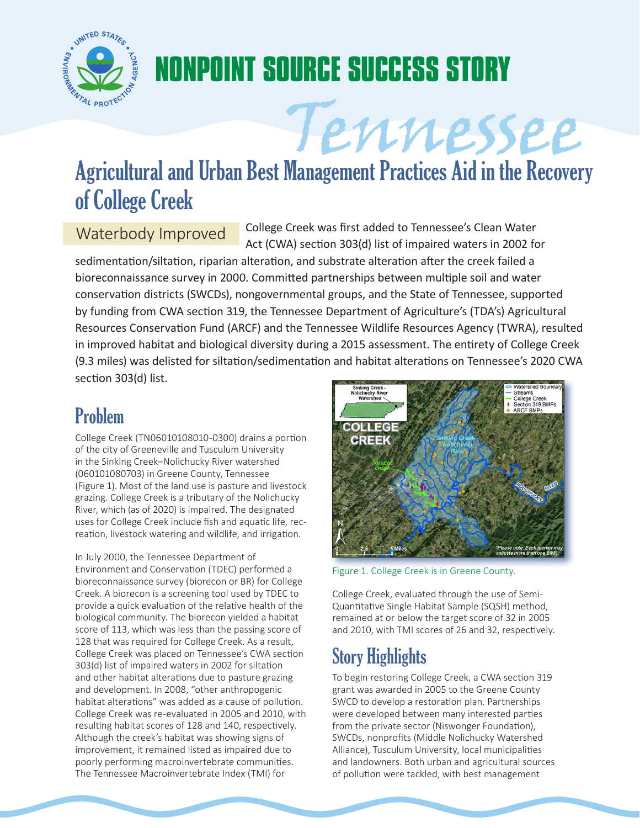

# **NONPOINT SOURCE SUCCESS STORY**

Tennessee Agricultural and Urban Best Management Practices Aid in the Recovery of College Creek

Waterbody Improved College Creek was first added to Tennessee's Clean Water Act (CWA) section 303(d) list of impaired waters in 2002 for

sedimentation/siltation, riparian alteration, and substrate alteration after the creek failed a bioreconnaissance survey in 2000. Committed partnerships between multiple soil and water conservation districts (SWCDs), nongovernmental groups, and the State of Tennessee, supported by funding from CWA section 319, the Tennessee Department of Agriculture's (TDA's) Agricultural Resources Conservation Fund (ARCF) and the Tennessee Wildlife Resources Agency (TWRA), resulted in improved habitat and biological diversity during a 2015 assessment. The entirety of College Creek (9.3 miles) was delisted for siltation/sedimentation and habitat alterations on Tennessee's 2020 CWA section 303(d) list.

# Problem

College Creek (TN06010108010-0300) drains a portion of the city of Greeneville and Tusculum University in the Sinking Creek–Nolichucky River watershed (060101080703) in Greene County, Tennessee (Figure 1). Most of the land use is pasture and livestock grazing. College Creek is a tributary of the Nolichucky River, which (as of 2020) is impaired. The designated uses for College Creek include fish and aquatic life, recreation, livestock watering and wildlife, and irrigation.

In July 2000, the Tennessee Department of Environment and Conservation (TDEC) performed a bioreconnaissance survey (biorecon or BR) for College Creek. A biorecon is a screening tool used by TDEC to provide a quick evaluation of the relative health of the biological community. The biorecon yielded a habitat score of 113, which was less than the passing score of 128 that was required for College Creek. As a result, College Creek was placed on Tennessee's CWA section 303(d) list of impaired waters in 2002 for siltation and other habitat alterations due to pasture grazing and development. In 2008, "other anthropogenic habitat alterations" was added as a cause of pollution. College Creek was re-evaluated in 2005 and 2010, with resulting habitat scores of 128 and 140, respectively. Although the creek's habitat was showing signs of improvement, it remained listed as impaired due to poorly performing macroinvertebrate communities. The Tennessee Macroinvertebrate Index (TMI) for



Figure 1. College Creek is in Greene County.

College Creek, evaluated through the use of Semi-Quantitative Single Habitat Sample (SQSH) method, remained at or below the target score of 32 in 2005 and 2010, with TMI scores of 26 and 32, respectively.

# Story Highlights

To begin restoring College Creek, a CWA section 319 grant was awarded in 2005 to the Greene County SWCD to develop a restoration plan. Partnerships were developed between many interested parties from the private sector (Niswonger Foundation), SWCDs, nonprofits (Middle Nolichucky Watershed Alliance), Tusculum University, local municipalities and landowners. Both urban and agricultural sources of pollution were tackled, with best management